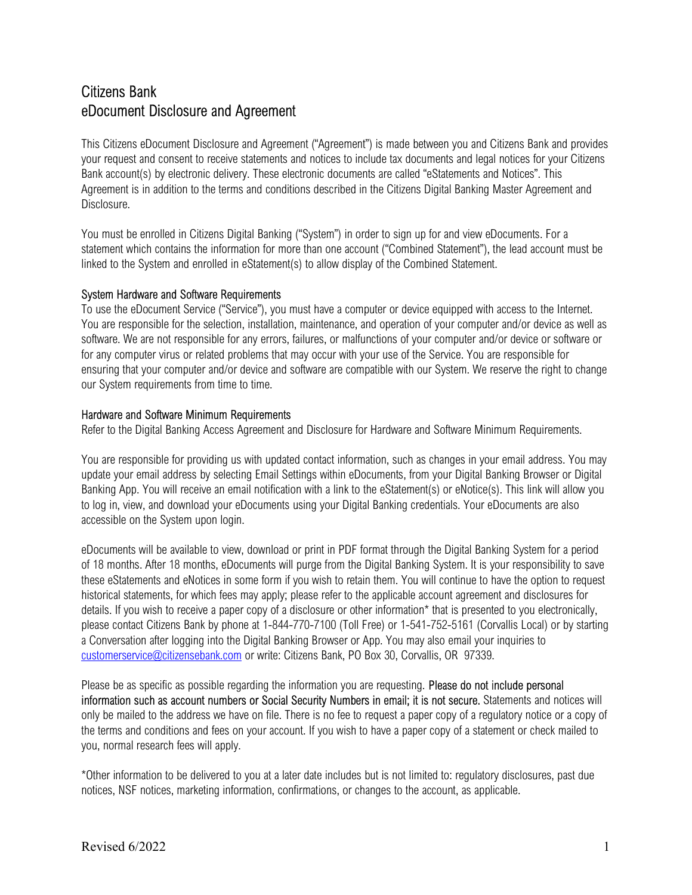## Citizens Bank eDocument Disclosure and Agreement

This Citizens eDocument Disclosure and Agreement ("Agreement") is made between you and Citizens Bank and provides your request and consent to receive statements and notices to include tax documents and legal notices for your Citizens Bank account(s) by electronic delivery. These electronic documents are called "eStatements and Notices". This Agreement is in addition to the terms and conditions described in the Citizens Digital Banking Master Agreement and Disclosure.

You must be enrolled in Citizens Digital Banking ("System") in order to sign up for and view eDocuments. For a statement which contains the information for more than one account ("Combined Statement"), the lead account must be linked to the System and enrolled in eStatement(s) to allow display of the Combined Statement.

## System Hardware and Software Requirements

To use the eDocument Service ("Service"), you must have a computer or device equipped with access to the Internet. You are responsible for the selection, installation, maintenance, and operation of your computer and/or device as well as software. We are not responsible for any errors, failures, or malfunctions of your computer and/or device or software or for any computer virus or related problems that may occur with your use of the Service. You are responsible for ensuring that your computer and/or device and software are compatible with our System. We reserve the right to change our System requirements from time to time.

## Hardware and Software Minimum Requirements

Refer to the Digital Banking Access Agreement and Disclosure for Hardware and Software Minimum Requirements.

You are responsible for providing us with updated contact information, such as changes in your email address. You may update your email address by selecting Email Settings within eDocuments, from your Digital Banking Browser or Digital Banking App. You will receive an email notification with a link to the eStatement(s) or eNotice(s). This link will allow you to log in, view, and download your eDocuments using your Digital Banking credentials. Your eDocuments are also accessible on the System upon login.

eDocuments will be available to view, download or print in PDF format through the Digital Banking System for a period of 18 months. After 18 months, eDocuments will purge from the Digital Banking System. It is your responsibility to save these eStatements and eNotices in some form if you wish to retain them. You will continue to have the option to request historical statements, for which fees may apply; please refer to the applicable account agreement and disclosures for details. If you wish to receive a paper copy of a disclosure or other information<sup>\*</sup> that is presented to you electronically, please contact Citizens Bank by phone at 1-844-770-7100 (Toll Free) or 1-541-752-5161 (Corvallis Local) or by starting a Conversation after logging into the Digital Banking Browser or App. You may also email your inquiries to customerservice@citizensebank.com or write: Citizens Bank, PO Box 30, Corvallis, OR 97339.

Please be as specific as possible regarding the information you are requesting. Please do not include personal information such as account numbers or Social Security Numbers in email; it is not secure. Statements and notices will only be mailed to the address we have on file. There is no fee to request a paper copy of a regulatory notice or a copy of the terms and conditions and fees on your account. If you wish to have a paper copy of a statement or check mailed to you, normal research fees will apply.

\*Other information to be delivered to you at a later date includes but is not limited to: regulatory disclosures, past due notices, NSF notices, marketing information, confirmations, or changes to the account, as applicable.